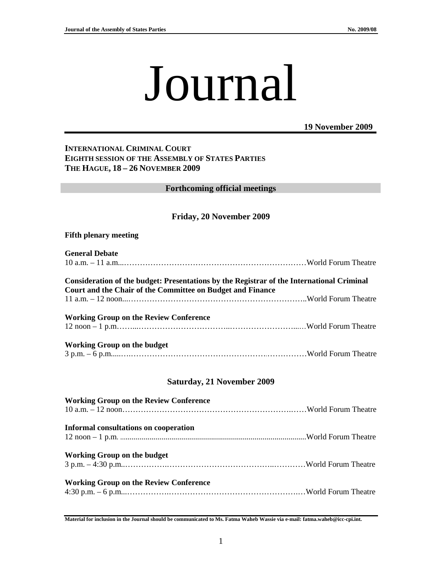# Journal

**19 November 2009**

## **INTERNATIONAL CRIMINAL COURT EIGHTH SESSION OF THE ASSEMBLY OF STATES PARTIES THE HAGUE, 18 – 26 NOVEMBER 2009**

**Forthcoming official meetings** 

## **Friday, 20 November 2009**

#### **Fifth plenary meeting**

#### **General Debate**

| Consideration of the budget: Presentations by the Registrar of the International Criminal<br>Court and the Chair of the Committee on Budget and Finance |  |
|---------------------------------------------------------------------------------------------------------------------------------------------------------|--|
|                                                                                                                                                         |  |
| <b>Working Group on the Review Conference</b>                                                                                                           |  |
|                                                                                                                                                         |  |
| <b>Working Group on the budget</b>                                                                                                                      |  |

## 3 p.m. – 6 p.m.....….…………………………………………….……………World Forum Theatre

#### **Saturday, 21 November 2009**

| <b>Working Group on the Review Conference</b> |  |
|-----------------------------------------------|--|
| Informal consultations on cooperation         |  |
| <b>Working Group on the budget</b>            |  |
| <b>Working Group on the Review Conference</b> |  |
|                                               |  |

**Material for inclusion in the Journal should be communicated to Ms. Fatma Waheb Wassie via e-mail: fatma.waheb@icc-cpi.int.**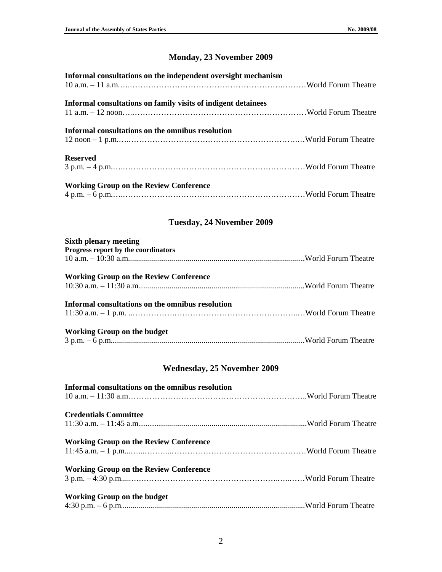# **Monday, 23 November 2009**

# **Tuesday, 24 November 2009**

| <b>Sixth plenary meeting</b>                     |  |
|--------------------------------------------------|--|
| Progress report by the coordinators              |  |
|                                                  |  |
| <b>Working Group on the Review Conference</b>    |  |
|                                                  |  |
| Informal consultations on the omnibus resolution |  |
|                                                  |  |
| <b>Working Group on the budget</b>               |  |
|                                                  |  |

# **Wednesday, 25 November 2009**

| Informal consultations on the omnibus resolution |  |
|--------------------------------------------------|--|
| <b>Credentials Committee</b>                     |  |
| <b>Working Group on the Review Conference</b>    |  |
| <b>Working Group on the Review Conference</b>    |  |
| Working Group on the budget                      |  |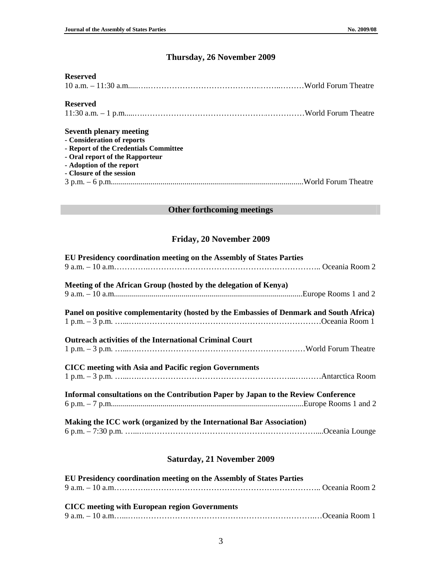# **Thursday, 26 November 2009**

# **Reserved**

| <b>Reserved</b>                                                                                                                                                                                  |  |
|--------------------------------------------------------------------------------------------------------------------------------------------------------------------------------------------------|--|
| <b>Seventh plenary meeting</b><br>- Consideration of reports<br>- Report of the Credentials Committee<br>- Oral report of the Rapporteur<br>- Adoption of the report<br>- Closure of the session |  |

## **Other forthcoming meetings**

## **Friday, 20 November 2009**

| EU Presidency coordination meeting on the Assembly of States Parties                    |
|-----------------------------------------------------------------------------------------|
|                                                                                         |
| Meeting of the African Group (hosted by the delegation of Kenya)                        |
| Panel on positive complementarity (hosted by the Embassies of Denmark and South Africa) |
| <b>Outreach activities of the International Criminal Court</b>                          |
| CICC meeting with Asia and Pacific region Governments                                   |
| Informal consultations on the Contribution Paper by Japan to the Review Conference      |
| Making the ICC work (organized by the International Bar Association)                    |

# **Saturday, 21 November 2009**

| <b>EU Presidency coordination meeting on the Assembly of States Parties</b> |  |
|-----------------------------------------------------------------------------|--|
|                                                                             |  |
|                                                                             |  |
| <b>CICC</b> meeting with European region Governments                        |  |
|                                                                             |  |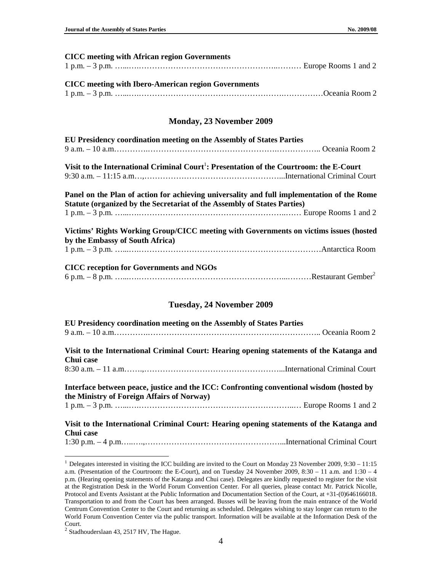| <b>CICC</b> meeting with African region Governments                                                                                                                           |
|-------------------------------------------------------------------------------------------------------------------------------------------------------------------------------|
| <b>CICC</b> meeting with Ibero-American region Governments                                                                                                                    |
| <b>Monday, 23 November 2009</b>                                                                                                                                               |
| EU Presidency coordination meeting on the Assembly of States Parties                                                                                                          |
| Visit to the International Criminal Court <sup>1</sup> : Presentation of the Courtroom: the E-Court                                                                           |
| Panel on the Plan of action for achieving universality and full implementation of the Rome<br><b>Statute (organized by the Secretariat of the Assembly of States Parties)</b> |
| Victims' Rights Working Group/CICC meeting with Governments on victims issues (hosted<br>by the Embassy of South Africa)                                                      |
| <b>CICC reception for Governments and NGOs</b>                                                                                                                                |
| <b>Tuesday, 24 November 2009</b>                                                                                                                                              |
| EU Presidency coordination meeting on the Assembly of States Parties                                                                                                          |
| Visit to the International Criminal Court: Hearing opening statements of the Katanga and                                                                                      |

#### **Visit to the International Criminal Court: Hearing opening statements of the Katanga and Chui case**  8:30 a.m. – 11 a.m…….,……………………………………………...International Criminal Court

**Interface between peace, justice and the ICC: Confronting conventional wisdom (hosted by the Ministry of Foreign Affairs of Norway)**  1 p.m. – 3 p.m. …...….…………………………………………………..… Europe Rooms 1 and 2

## **Visit to the International Criminal Court: Hearing opening statements of the Katanga and Chui case**

1:30 p.m. – 4 p.m…..….,……………………………………………...International Criminal Court

 $\overline{a}$ 

<sup>&</sup>lt;sup>1</sup> Delegates interested in visiting the ICC building are invited to the Court on Monday 23 November 2009, 9:30 – 11:15 a.m. (Presentation of the Courtroom: the E-Court), and on Tuesday 24 November 2009, 8:30 – 11 a.m. and 1:30 – 4 p.m. (Hearing opening statements of the Katanga and Chui case). Delegates are kindly requested to register for the visit at the Registration Desk in the World Forum Convention Center. For all queries, please contact Mr. Patrick Nicolle, Protocol and Events Assistant at the Public Information and Documentation Section of the Court, at +31-(0)646166018. Transportation to and from the Court has been arranged. Busses will be leaving from the main entrance of the World Centrum Convention Center to the Court and returning as scheduled. Delegates wishing to stay longer can return to the World Forum Convention Center via the public transport. Information will be available at the Information Desk of the Court.

 $<sup>2</sup>$  Stadhouderslaan 43, 2517 HV, The Hague.</sup>